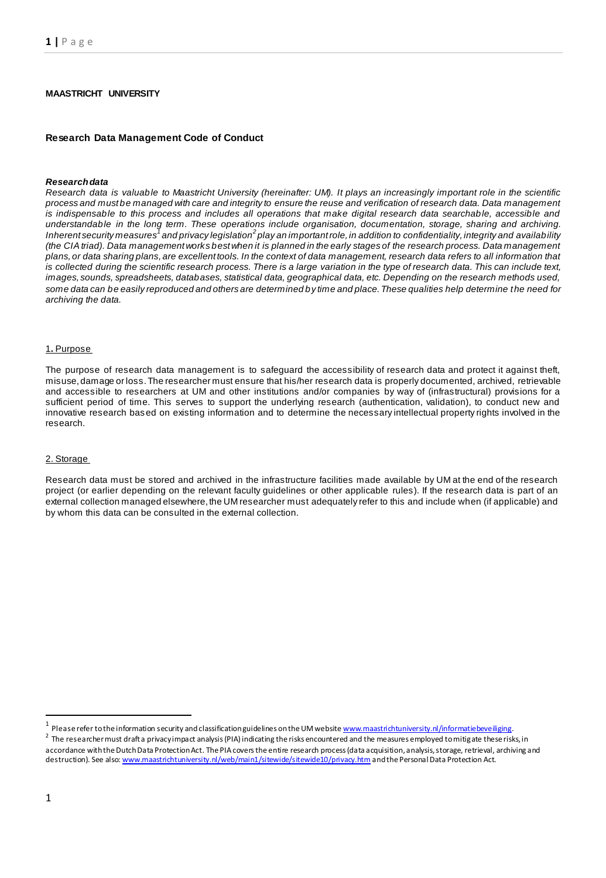# **MAASTRICHT UNIVERSITY**

#### **Research Data Management Code of Conduct**

#### *Research data*

*Research data is valuable to Maastricht University (hereinafter: UM). It plays an increasingly important role in the scientific process and must be managed with care and integrity to ensure the reuse and verification of research data. Data management is indispensable to this process and includes all operations that make digital research data searchable, accessible and understandable in the long term. These operations include organisation, documentation, storage, sharing and archiving.*  Inherent security measures<sup>7</sup> and privacy legislation<sup>2</sup> play an important role, in addition to confidentiality, integrity and availability *(the CIA triad). Data management works best when it is planned in the early stages of the research process. Data management plans, or data sharing plans,are excellent tools. In the context of data management, research data refers to all information that is collected during the scientific research process. There is a large variation in the type of research data. This can include text, images, sounds, spreadsheets, databases, statistical data, geographical data, etc. Depending on the research methods used, some data can be easily reproduced and others are determined by time and place. These qualities help determine the need for archiving the data.*

#### 1**.** Purpose

The purpose of research data management is to safeguard the accessibility of research data and protect it against theft, misuse, damage or loss. The researcher must ensure that his/her research data is properly documented, archived, retrievable and accessible to researchers at UM and other institutions and/or companies by way of (infrastructural) provisions for a sufficient period of time. This serves to support the underlying research (authentication, validation), to conduct new and innovative research based on existing information and to determine the necessary intellectual property rights involved in the research.

#### 2. Storage

Research data must be stored and archived in the infrastructure facilities made available by UM at the end of the research project (or earlier depending on the relevant faculty guidelines or other applicable rules). If the research data is part of an external collection managed elsewhere, the UM researcher must adequately refer to this and include when (if applicable) and by whom this data can be consulted in the external collection.

1

<sup>&</sup>lt;sup>1</sup> Please refer to the information security and classification guidelines on the UM website <u>www.maastrichtuniversity.nl/informatiebeveiliging</u>.

<sup>&</sup>lt;sup>2</sup> The researcher must draft a privacy impact analysis (PIA) indicating the risks encountered and the measures employed to mitigate these risks, in accordance with the Dutch Data Protection Act. The PIA covers the entire research process (data acquisition, analysis, storage, retrieval, archiving and destruction). See als[o: www.maastrichtuniversity.nl/web/main1/sitewide/sitewide10/privacy.htm](http://www.maastrichtuniversity.nl/web/main1/sitewide/sitewide10/privacy.htm) and the Personal Data Protection Act.